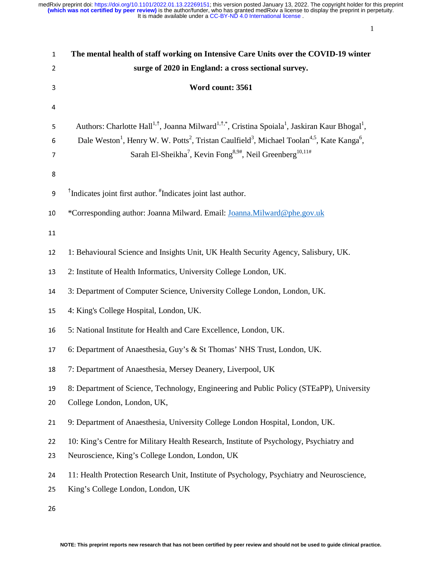1

| $\mathbf{1}$ | The mental health of staff working on Intensive Care Units over the COVID-19 winter                                                                                                                                                                                                                                                                                                                       |  |  |  |  |
|--------------|-----------------------------------------------------------------------------------------------------------------------------------------------------------------------------------------------------------------------------------------------------------------------------------------------------------------------------------------------------------------------------------------------------------|--|--|--|--|
| 2            | surge of 2020 in England: a cross sectional survey.                                                                                                                                                                                                                                                                                                                                                       |  |  |  |  |
| 3            | Word count: 3561                                                                                                                                                                                                                                                                                                                                                                                          |  |  |  |  |
| 4            |                                                                                                                                                                                                                                                                                                                                                                                                           |  |  |  |  |
| 5<br>6<br>7  | Authors: Charlotte Hall <sup>1,†</sup> , Joanna Milward <sup>1,†,*</sup> , Cristina Spoiala <sup>1</sup> , Jaskiran Kaur Bhogal <sup>1</sup> ,<br>Dale Weston <sup>1</sup> , Henry W. W. Potts <sup>2</sup> , Tristan Caulfield <sup>3</sup> , Michael Toolan <sup>4,5</sup> , Kate Kanga <sup>6</sup> ,<br>Sarah El-Sheikha <sup>7</sup> , Kevin Fong <sup>8,9#</sup> , Neil Greenberg <sup>10,11#</sup> |  |  |  |  |
| 8<br>9       | <sup>†</sup> Indicates joint first author. <sup>#</sup> Indicates joint last author.                                                                                                                                                                                                                                                                                                                      |  |  |  |  |
| 10           | *Corresponding author: Joanna Milward. Email: Joanna.Milward@phe.gov.uk                                                                                                                                                                                                                                                                                                                                   |  |  |  |  |
| 11           |                                                                                                                                                                                                                                                                                                                                                                                                           |  |  |  |  |
| 12           | 1: Behavioural Science and Insights Unit, UK Health Security Agency, Salisbury, UK.                                                                                                                                                                                                                                                                                                                       |  |  |  |  |
| 13           | 2: Institute of Health Informatics, University College London, UK.                                                                                                                                                                                                                                                                                                                                        |  |  |  |  |
| 14           | 3: Department of Computer Science, University College London, London, UK.                                                                                                                                                                                                                                                                                                                                 |  |  |  |  |
| 15           | 4: King's College Hospital, London, UK.                                                                                                                                                                                                                                                                                                                                                                   |  |  |  |  |
| 16           | 5: National Institute for Health and Care Excellence, London, UK.                                                                                                                                                                                                                                                                                                                                         |  |  |  |  |
| 17           | 6: Department of Anaesthesia, Guy's & St Thomas' NHS Trust, London, UK.                                                                                                                                                                                                                                                                                                                                   |  |  |  |  |
| 18           | 7: Department of Anaesthesia, Mersey Deanery, Liverpool, UK                                                                                                                                                                                                                                                                                                                                               |  |  |  |  |
| 19<br>20     | 8: Department of Science, Technology, Engineering and Public Policy (STEaPP), University<br>College London, London, UK,                                                                                                                                                                                                                                                                                   |  |  |  |  |
| 21           | 9: Department of Anaesthesia, University College London Hospital, London, UK.                                                                                                                                                                                                                                                                                                                             |  |  |  |  |
| 22<br>23     | 10: King's Centre for Military Health Research, Institute of Psychology, Psychiatry and<br>Neuroscience, King's College London, London, UK                                                                                                                                                                                                                                                                |  |  |  |  |
| 24<br>25     | 11: Health Protection Research Unit, Institute of Psychology, Psychiatry and Neuroscience,<br>King's College London, London, UK                                                                                                                                                                                                                                                                           |  |  |  |  |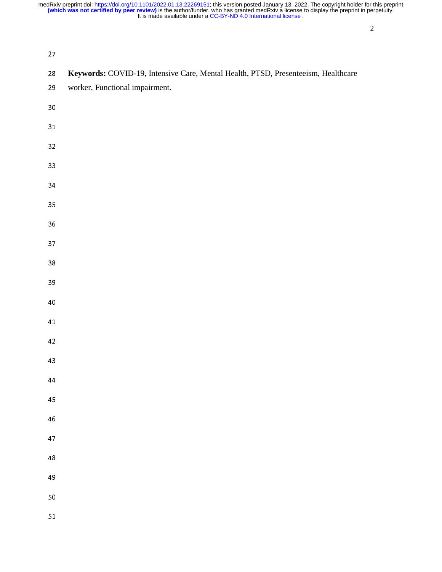| $27\,$     |                                                                                   |
|------------|-----------------------------------------------------------------------------------|
| 28         | Keywords: COVID-19, Intensive Care, Mental Health, PTSD, Presenteeism, Healthcare |
| 29         | worker, Functional impairment.                                                    |
| 30         |                                                                                   |
| 31         |                                                                                   |
| 32         |                                                                                   |
| 33         |                                                                                   |
| 34         |                                                                                   |
| 35         |                                                                                   |
| 36         |                                                                                   |
| 37         |                                                                                   |
| 38         |                                                                                   |
| 39         |                                                                                   |
| 40         |                                                                                   |
| 41         |                                                                                   |
| 42         |                                                                                   |
| 43         |                                                                                   |
| 44         |                                                                                   |
| 45         |                                                                                   |
| ${\bf 46}$ |                                                                                   |
| 47         |                                                                                   |
| $\bf 48$   |                                                                                   |
| 49         |                                                                                   |
| 50         |                                                                                   |
| 51         |                                                                                   |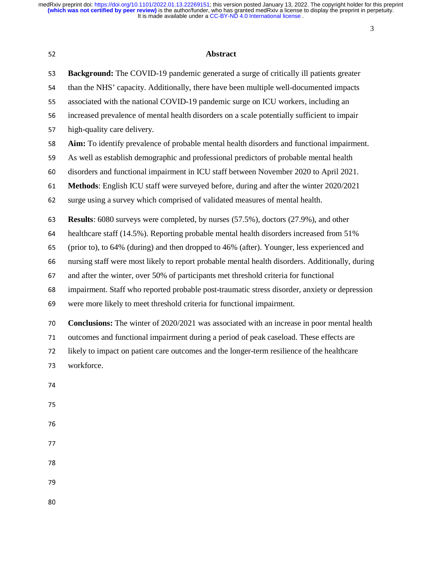| 52 | Abstract                                                                                          |  |  |  |  |
|----|---------------------------------------------------------------------------------------------------|--|--|--|--|
| 53 | Background: The COVID-19 pandemic generated a surge of critically ill patients greater            |  |  |  |  |
| 54 | than the NHS' capacity. Additionally, there have been multiple well-documented impacts            |  |  |  |  |
| 55 | associated with the national COVID-19 pandemic surge on ICU workers, including an                 |  |  |  |  |
| 56 | increased prevalence of mental health disorders on a scale potentially sufficient to impair       |  |  |  |  |
| 57 | high-quality care delivery.                                                                       |  |  |  |  |
| 58 | Aim: To identify prevalence of probable mental health disorders and functional impairment.        |  |  |  |  |
| 59 | As well as establish demographic and professional predictors of probable mental health            |  |  |  |  |
| 60 | disorders and functional impairment in ICU staff between November 2020 to April 2021.             |  |  |  |  |
| 61 | Methods: English ICU staff were surveyed before, during and after the winter 2020/2021            |  |  |  |  |
| 62 | surge using a survey which comprised of validated measures of mental health.                      |  |  |  |  |
| 63 | Results: 6080 surveys were completed, by nurses (57.5%), doctors (27.9%), and other               |  |  |  |  |
| 64 | healthcare staff (14.5%). Reporting probable mental health disorders increased from 51%           |  |  |  |  |
| 65 | (prior to), to 64% (during) and then dropped to 46% (after). Younger, less experienced and        |  |  |  |  |
| 66 | nursing staff were most likely to report probable mental health disorders. Additionally, during   |  |  |  |  |
| 67 | and after the winter, over 50% of participants met threshold criteria for functional              |  |  |  |  |
| 68 | impairment. Staff who reported probable post-traumatic stress disorder, anxiety or depression     |  |  |  |  |
| 69 | were more likely to meet threshold criteria for functional impairment.                            |  |  |  |  |
| 70 | <b>Conclusions:</b> The winter of 2020/2021 was associated with an increase in poor mental health |  |  |  |  |
| 71 | outcomes and functional impairment during a period of peak caseload. These effects are            |  |  |  |  |
| 72 | likely to impact on patient care outcomes and the longer-term resilience of the healthcare        |  |  |  |  |
| 73 | workforce.                                                                                        |  |  |  |  |
| 74 |                                                                                                   |  |  |  |  |
| 75 |                                                                                                   |  |  |  |  |
| 76 |                                                                                                   |  |  |  |  |
| 77 |                                                                                                   |  |  |  |  |
| 78 |                                                                                                   |  |  |  |  |
| 79 |                                                                                                   |  |  |  |  |
| 80 |                                                                                                   |  |  |  |  |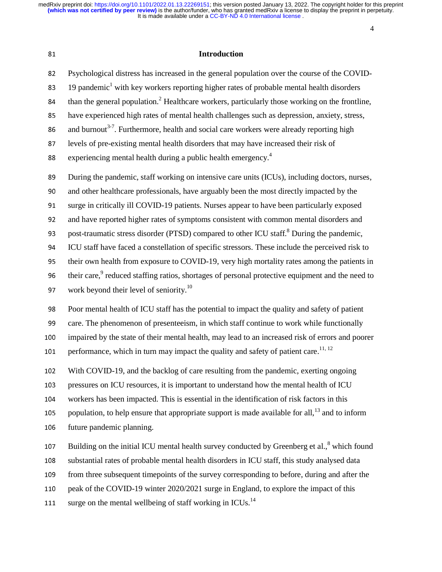4

# <sup>81</sup>**Introduction**

82 Psychological distress has increased in the general population over the course of the COVID-83 19 pandemic<sup>1</sup> with key workers reporting higher rates of probable mental health disorders  $\theta$  than the general population.<sup>2</sup> Healthcare workers, particularly those working on the frontline, 85 have experienced high rates of mental health challenges such as depression, anxiety, stress, 86 and burnout<sup>3-7</sup>. Furthermore, health and social care workers were already reporting high 87 levels of pre-existing mental health disorders that may have increased their risk of experiencing mental health during a public health emergency.4 <sup>88</sup> 89 During the pandemic, staff working on intensive care units (ICUs), including doctors, nurses, <sup>90</sup>and other healthcare professionals, have arguably been the most directly impacted by the 91 surge in critically ill COVID-19 patients. Nurses appear to have been particularly exposed 92 and have reported higher rates of symptoms consistent with common mental disorders and 93 post-traumatic stress disorder (PTSD) compared to other ICU staff. $8$  During the pandemic, <sup>94</sup>ICU staff have faced a constellation of specific stressors. These include the perceived risk to 95 their own health from exposure to COVID-19, very high mortality rates among the patients in 96 their care, $\degree$  reduced staffing ratios, shortages of personal protective equipment and the need to 97 work beyond their level of seniority.<sup>10</sup> 98 Poor mental health of ICU staff has the potential to impact the quality and safety of patient 99 care. The phenomenon of presenteeism, in which staff continue to work while functionally 100 impaired by the state of their mental health, may lead to an increased risk of errors and poorer 101 performance, which in turn may impact the quality and safety of patient care.<sup>11, 12</sup> 102 With COVID-19, and the backlog of care resulting from the pandemic, exerting ongoing 103 pressures on ICU resources, it is important to understand how the mental health of ICU 104 workers has been impacted. This is essential in the identification of risk factors in this 105 population, to help ensure that appropriate support is made available for all,  $^{13}$  and to inform 106 future pandemic planning. 107 Building on the initial ICU mental health survey conducted by Greenberg et al., $^8$  which found 108 substantial rates of probable mental health disorders in ICU staff, this study analysed data

109 from three subsequent timepoints of the survey corresponding to before, during and after the

110 peak of the COVID-19 winter 2020/2021 surge in England, to explore the impact of this

111 surge on the mental wellbeing of staff working in ICUs.<sup>14</sup>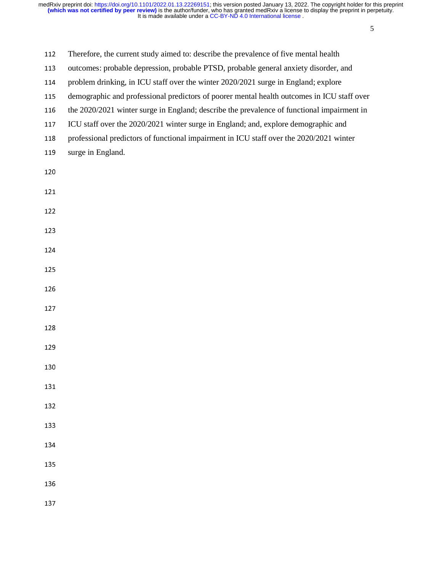| 112 | Therefore, the current study aimed to: describe the prevalence of five mental health |
|-----|--------------------------------------------------------------------------------------|
|     |                                                                                      |

- 113 outcomes: probable depression, probable PTSD, probable general anxiety disorder, and
- 114 problem drinking, in ICU staff over the winter 2020/2021 surge in England; explore
- 115 demographic and professional predictors of poorer mental health outcomes in ICU staff over
- 116 the 2020/2021 winter surge in England; describe the prevalence of functional impairment in
- 117 ICU staff over the 2020/2021 winter surge in England; and, explore demographic and
- 118 professional predictors of functional impairment in ICU staff over the 2020/2021 winter
- 119 surge in England.
- 
- 
-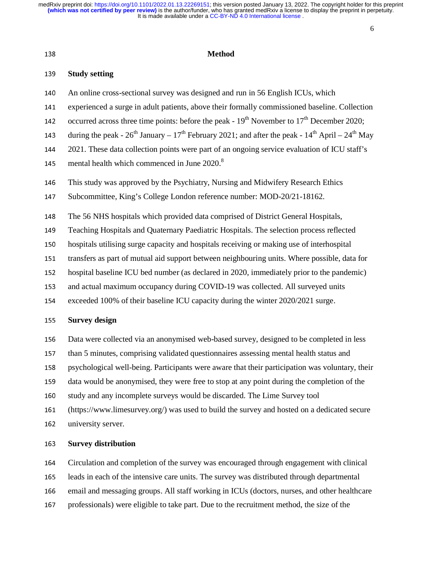6

#### <sup>139</sup>**Study setting**

- <sup>140</sup>An online cross-sectional survey was designed and run in 56 English ICUs, which
- 141 experienced a surge in adult patients, above their formally commissioned baseline. Collection
- 142 occurred across three time points: before the peak  $19<sup>th</sup>$  November to  $17<sup>th</sup>$  December 2020;
- 143 during the peak  $26^{th}$  January  $17^{th}$  February 2021; and after the peak  $14^{th}$  April  $24^{th}$  May
- <sup>144</sup>2021. These data collection points were part of an ongoing service evaluation of ICU staff's
- 145 mental health which commenced in June  $2020$ .<sup>8</sup>
- 146 This study was approved by the Psychiatry, Nursing and Midwifery Research Ethics
- 147 Subcommittee, King's College London reference number: MOD-20/21-18162.
- <sup>148</sup>The 56 NHS hospitals which provided data comprised of District General Hospitals,
- 149 Teaching Hospitals and Quaternary Paediatric Hospitals. The selection process reflected
- <sup>150</sup>hospitals utilising surge capacity and hospitals receiving or making use of interhospital
- 151 transfers as part of mutual aid support between neighbouring units. Where possible, data for
- 152 hospital baseline ICU bed number (as declared in 2020, immediately prior to the pandemic)
- 153 and actual maximum occupancy during COVID-19 was collected. All surveyed units
- 154 exceeded 100% of their baseline ICU capacity during the winter 2020/2021 surge.

#### <sup>155</sup>**Survey design**

- 156 Data were collected via an anonymised web-based survey, designed to be completed in less
- 157 than 5 minutes, comprising validated questionnaires assessing mental health status and
- 158 psychological well-being. Participants were aware that their participation was voluntary, their
- 159 data would be anonymised, they were free to stop at any point during the completion of the
- 160 study and any incomplete surveys would be discarded. The Lime Survey tool
- <sup>161</sup>(https://www.limesurvey.org/) was used to build the survey and hosted on a dedicated secure
- 162 university server.

#### <sup>163</sup>**Survey distribution**

- <sup>164</sup>Circulation and completion of the survey was encouraged through engagement with clinical
- 165 leads in each of the intensive care units. The survey was distributed through departmental
- 166 email and messaging groups. All staff working in ICUs (doctors, nurses, and other healthcare
- 167 professionals) were eligible to take part. Due to the recruitment method, the size of the

<sup>138</sup>**Method**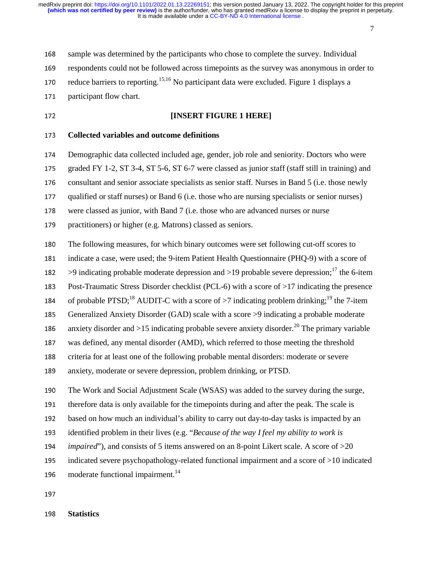7

168 sample was determined by the participants who chose to complete the survey. Individual

169 respondents could not be followed across timepoints as the survey was anonymous in order to

170 reduce barriers to reporting.<sup>15,16</sup> No participant data were excluded. Figure 1 displays a

171 participant flow chart.

# <sup>172</sup>**[INSERT FIGURE 1 HERE]**

<sup>173</sup>**Collected variables and outcome definitions** 

174 Demographic data collected included age, gender, job role and seniority. Doctors who were

175 graded FY 1-2, ST 3-4, ST 5-6, ST 6-7 were classed as junior staff (staff still in training) and

176 consultant and senior associate specialists as senior staff. Nurses in Band 5 (i.e. those newly

177 qualified or staff nurses) or Band 6 (i.e. those who are nursing specialists or senior nurses)

178 were classed as junior, with Band 7 (i.e. those who are advanced nurses or nurse

179 practitioners) or higher (e.g. Matrons) classed as seniors.

<sup>180</sup>The following measures, for which binary outcomes were set following cut-off scores to

181 indicate a case, were used; the 9-item Patient Health Questionnaire (PHQ-9) with a score of

182 > 9 indicating probable moderate depression and  $>19$  probable severe depression;<sup>17</sup> the 6-item

183 Post-Traumatic Stress Disorder checklist (PCL-6) with a score of  $>17$  indicating the presence

184 of probable PTSD;<sup>18</sup> AUDIT-C with a score of  $>7$  indicating problem drinking;<sup>19</sup> the 7-item

185 Generalized Anxiety Disorder (GAD) scale with a score >9 indicating a probable moderate

186 anxiety disorder and  $>15$  indicating probable severe anxiety disorder.<sup>20</sup> The primary variable

<sup>187</sup>was defined, any mental disorder (AMD), which referred to those meeting the threshold

188 criteria for at least one of the following probable mental disorders: moderate or severe

189 anxiety, moderate or severe depression, problem drinking, or PTSD.

<sup>190</sup>The Work and Social Adjustment Scale (WSAS) was added to the survey during the surge,

191 therefore data is only available for the timepoints during and after the peak. The scale is

192 based on how much an individual's ability to carry out day-to-day tasks is impacted by an

<sup>193</sup>identified problem in their lives (e.g. "*Because of the way I feel my ability to work is* 

<sup>194</sup>*impaired*"), and consists of 5 items answered on an 8-point Likert scale. A score of >20

195 indicated severe psychopathology-related functional impairment and a score of >10 indicated

196 moderate functional impairment.<sup>14</sup>

197

<sup>198</sup>**Statistics**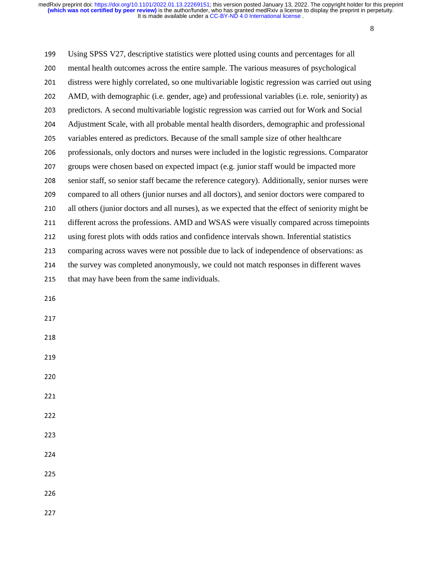8

<sup>199</sup>Using SPSS V27, descriptive statistics were plotted using counts and percentages for all <sup>200</sup>mental health outcomes across the entire sample. The various measures of psychological 201 distress were highly correlated, so one multivariable logistic regression was carried out using <sup>202</sup>AMD, with demographic (i.e. gender, age) and professional variables (i.e. role, seniority) as <sup>203</sup>predictors. A second multivariable logistic regression was carried out for Work and Social <sup>204</sup>Adjustment Scale, with all probable mental health disorders, demographic and professional 205 variables entered as predictors. Because of the small sample size of other healthcare <sup>206</sup>professionals, only doctors and nurses were included in the logistic regressions. Comparator 207 groups were chosen based on expected impact (e.g. junior staff would be impacted more 208 senior staff, so senior staff became the reference category). Additionally, senior nurses were 209 compared to all others (junior nurses and all doctors), and senior doctors were compared to 210 all others (junior doctors and all nurses), as we expected that the effect of seniority might be 211 different across the professions. AMD and WSAS were visually compared across timepoints 212 using forest plots with odds ratios and confidence intervals shown. Inferential statistics 213 comparing across waves were not possible due to lack of independence of observations: as 214 the survey was completed anonymously, we could not match responses in different waves 215 that may have been from the same individuals. 216

- 217
- 218
- 219
- 220
- 221
- 222
- 223
- 224

225

226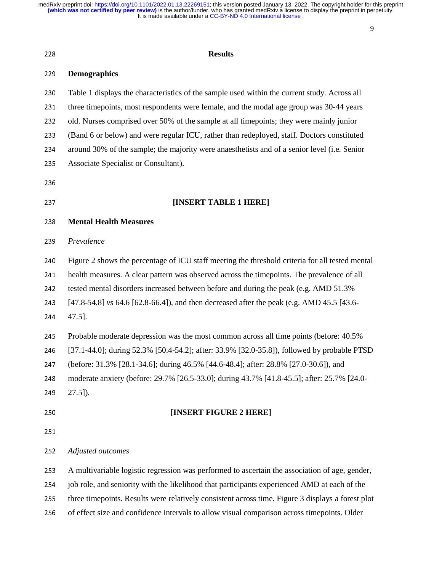9

| 228 | <b>Results</b>                                                                                    |  |  |  |
|-----|---------------------------------------------------------------------------------------------------|--|--|--|
| 229 | <b>Demographics</b>                                                                               |  |  |  |
| 230 | Table 1 displays the characteristics of the sample used within the current study. Across all      |  |  |  |
| 231 | three timepoints, most respondents were female, and the modal age group was 30-44 years           |  |  |  |
| 232 | old. Nurses comprised over 50% of the sample at all timepoints; they were mainly junior           |  |  |  |
| 233 | (Band 6 or below) and were regular ICU, rather than redeployed, staff. Doctors constituted        |  |  |  |
| 234 | around 30% of the sample; the majority were anaesthetists and of a senior level (i.e. Senior      |  |  |  |
| 235 | Associate Specialist or Consultant).                                                              |  |  |  |
| 236 |                                                                                                   |  |  |  |
| 237 | [INSERT TABLE 1 HERE]                                                                             |  |  |  |
| 238 | <b>Mental Health Measures</b>                                                                     |  |  |  |
| 239 | Prevalence                                                                                        |  |  |  |
| 240 | Figure 2 shows the percentage of ICU staff meeting the threshold criteria for all tested mental   |  |  |  |
| 241 | health measures. A clear pattern was observed across the timepoints. The prevalence of all        |  |  |  |
| 242 | tested mental disorders increased between before and during the peak (e.g. AMD 51.3%)             |  |  |  |
| 243 | [47.8-54.8] vs 64.6 [62.8-66.4]), and then decreased after the peak (e.g. AMD 45.5 [43.6-         |  |  |  |
| 244 | 47.5].                                                                                            |  |  |  |
| 245 | Probable moderate depression was the most common across all time points (before: 40.5%            |  |  |  |
| 246 | [37.1-44.0]; during 52.3% [50.4-54.2]; after: 33.9% [32.0-35.8]), followed by probable PTSD       |  |  |  |
| 247 | (before: 31.3% [28.1-34.6]; during 46.5% [44.6-48.4]; after: 28.8% [27.0-30.6]), and              |  |  |  |
| 248 | moderate anxiety (before: 29.7% [26.5-33.0]; during 43.7% [41.8-45.5]; after: 25.7% [24.0-        |  |  |  |
| 249 | $27.5$ ]).                                                                                        |  |  |  |
| 250 | [INSERT FIGURE 2 HERE]                                                                            |  |  |  |
| 251 |                                                                                                   |  |  |  |
| 252 | Adjusted outcomes                                                                                 |  |  |  |
| 253 | A multivariable logistic regression was performed to ascertain the association of age, gender,    |  |  |  |
| 254 | job role, and seniority with the likelihood that participants experienced AMD at each of the      |  |  |  |
| 255 | three timepoints. Results were relatively consistent across time. Figure 3 displays a forest plot |  |  |  |
|     |                                                                                                   |  |  |  |

256 of effect size and confidence intervals to allow visual comparison across timepoints. Older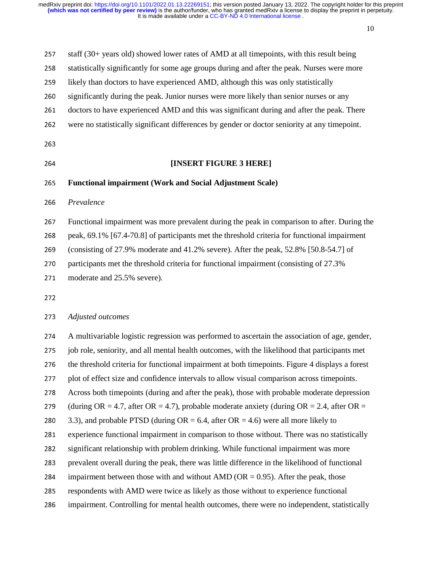10

| 257 | staff (30+ years old) showed lower rates of AMD at all timepoints, with this result being       |  |  |  |  |
|-----|-------------------------------------------------------------------------------------------------|--|--|--|--|
| 258 | statistically significantly for some age groups during and after the peak. Nurses were more     |  |  |  |  |
| 259 | likely than doctors to have experienced AMD, although this was only statistically               |  |  |  |  |
| 260 | significantly during the peak. Junior nurses were more likely than senior nurses or any         |  |  |  |  |
| 261 | doctors to have experienced AMD and this was significant during and after the peak. There       |  |  |  |  |
| 262 | were no statistically significant differences by gender or doctor seniority at any timepoint.   |  |  |  |  |
| 263 |                                                                                                 |  |  |  |  |
| 264 | [INSERT FIGURE 3 HERE]                                                                          |  |  |  |  |
| 265 | <b>Functional impairment (Work and Social Adjustment Scale)</b>                                 |  |  |  |  |
| 266 | Prevalence                                                                                      |  |  |  |  |
| 267 | Functional impairment was more prevalent during the peak in comparison to after. During the     |  |  |  |  |
| 268 | peak, 69.1% [67.4-70.8] of participants met the threshold criteria for functional impairment    |  |  |  |  |
| 269 | (consisting of 27.9% moderate and 41.2% severe). After the peak, 52.8% [50.8-54.7] of           |  |  |  |  |
| 270 | participants met the threshold criteria for functional impairment (consisting of 27.3%)         |  |  |  |  |
| 271 | moderate and 25.5% severe).                                                                     |  |  |  |  |
| 272 |                                                                                                 |  |  |  |  |
| 273 | Adjusted outcomes                                                                               |  |  |  |  |
| 274 | A multivariable logistic regression was performed to ascertain the association of age, gender,  |  |  |  |  |
| 275 | job role, seniority, and all mental health outcomes, with the likelihood that participants met  |  |  |  |  |
| 276 | the threshold criteria for functional impairment at both timepoints. Figure 4 displays a forest |  |  |  |  |
|     |                                                                                                 |  |  |  |  |

- 277 plot of effect size and confidence intervals to allow visual comparison across timepoints.
- 278 Across both timepoints (during and after the peak), those with probable moderate depression

279 (during OR = 4.7, after OR = 4.7), probable moderate anxiety (during OR = 2.4, after OR =

280 3.3), and probable PTSD (during  $OR = 6.4$ , after  $OR = 4.6$ ) were all more likely to

- 281 experience functional impairment in comparison to those without. There was no statistically
- 282 significant relationship with problem drinking. While functional impairment was more
- 283 prevalent overall during the peak, there was little difference in the likelihood of functional
- 284 impairment between those with and without AMD (OR = 0.95). After the peak, those
- 285 respondents with AMD were twice as likely as those without to experience functional
- 286 impairment. Controlling for mental health outcomes, there were no independent, statistically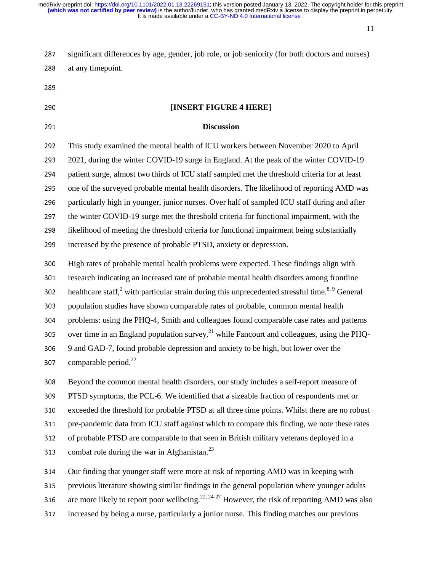11

287 significant differences by age, gender, job role, or job seniority (for both doctors and nurses) 288 at any timepoint.

289

# <sup>290</sup>**[INSERT FIGURE 4 HERE]**  <sup>291</sup>**Discussion**  <sup>292</sup>This study examined the mental health of ICU workers between November 2020 to April <sup>293</sup>2021, during the winter COVID-19 surge in England. At the peak of the winter COVID-19 294 patient surge, almost two thirds of ICU staff sampled met the threshold criteria for at least 295 one of the surveyed probable mental health disorders. The likelihood of reporting AMD was 296 particularly high in younger, junior nurses. Over half of sampled ICU staff during and after 297 the winter COVID-19 surge met the threshold criteria for functional impairment, with the 298 likelihood of meeting the threshold criteria for functional impairment being substantially 299 increased by the presence of probable PTSD, anxiety or depression. <sup>300</sup>High rates of probable mental health problems were expected. These findings align with 301 research indicating an increased rate of probable mental health disorders among frontline 302 healthcare staff,<sup>2</sup> with particular strain during this unprecedented stressful time.<sup>8, 9</sup> General 303 population studies have shown comparable rates of probable, common mental health 304 problems: using the PHQ-4, Smith and colleagues found comparable case rates and patterns 305 over time in an England population survey, $2^1$  while Fancourt and colleagues, using the PHQ-<sup>306</sup>9 and GAD-7, found probable depression and anxiety to be high, but lower over the 307 comparable period. $^{22}$ <sup>308</sup>Beyond the common mental health disorders, our study includes a self-report measure of 309 PTSD symptoms, the PCL-6. We identified that a sizeable fraction of respondents met or

310 exceeded the threshold for probable PTSD at all three time points. Whilst there are no robust

311 pre-pandemic data from ICU staff against which to compare this finding, we note these rates

312 of probable PTSD are comparable to that seen in British military veterans deployed in a

313 combat role during the war in Afghanistan.<sup>23</sup>

314 Our finding that younger staff were more at risk of reporting AMD was in keeping with

315 previous literature showing similar findings in the general population where younger adults

316 are more likely to report poor wellbeing.<sup>22, 24-27</sup> However, the risk of reporting AMD was also

<sup>317</sup>increased by being a nurse, particularly a junior nurse. This finding matches our previous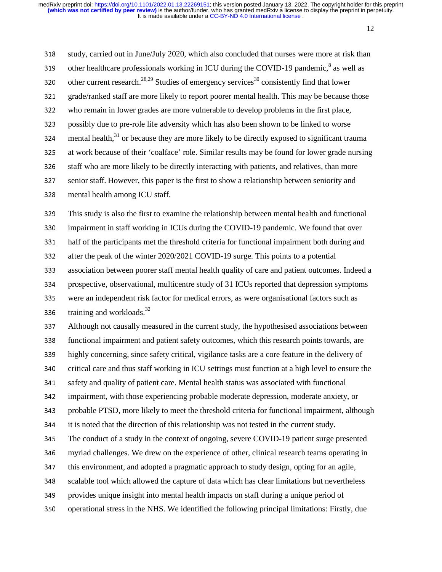12

318 study, carried out in June/July 2020, which also concluded that nurses were more at risk than 319 other healthcare professionals working in ICU during the COVID-19 pandemic, $\delta$  as well as 320 other current research.<sup>28,29</sup> Studies of emergency services<sup>30</sup> consistently find that lower 321 grade/ranked staff are more likely to report poorer mental health. This may be because those <sup>322</sup>who remain in lower grades are more vulnerable to develop problems in the first place, 323 possibly due to pre-role life adversity which has also been shown to be linked to worse 324 mental health, $31$  or because they are more likely to be directly exposed to significant trauma 325 at work because of their 'coalface' role. Similar results may be found for lower grade nursing 326 staff who are more likely to be directly interacting with patients, and relatives, than more <sup>327</sup>senior staff. However, this paper is the first to show a relationship between seniority and 328 mental health among ICU staff.

<sup>329</sup>This study is also the first to examine the relationship between mental health and functional 330 impairment in staff working in ICUs during the COVID-19 pandemic. We found that over 331 half of the participants met the threshold criteria for functional impairment both during and 332 after the peak of the winter 2020/2021 COVID-19 surge. This points to a potential 333 association between poorer staff mental health quality of care and patient outcomes. Indeed a 334 prospective, observational, multicentre study of 31 ICUs reported that depression symptoms 335 were an independent risk factor for medical errors, as were organisational factors such as 336 training and workloads. $32$ 

<sup>337</sup>Although not causally measured in the current study, the hypothesised associations between <sup>338</sup>functional impairment and patient safety outcomes, which this research points towards, are 339 highly concerning, since safety critical, vigilance tasks are a core feature in the delivery of 340 critical care and thus staff working in ICU settings must function at a high level to ensure the 341 safety and quality of patient care. Mental health status was associated with functional <sup>342</sup>impairment, with those experiencing probable moderate depression, moderate anxiety, or 343 probable PTSD, more likely to meet the threshold criteria for functional impairment, although 344 it is noted that the direction of this relationship was not tested in the current study. 345 The conduct of a study in the context of ongoing, severe COVID-19 patient surge presented 346 myriad challenges. We drew on the experience of other, clinical research teams operating in 347 this environment, and adopted a pragmatic approach to study design, opting for an agile, <sup>348</sup>scalable tool which allowed the capture of data which has clear limitations but nevertheless 349 provides unique insight into mental health impacts on staff during a unique period of 350 operational stress in the NHS. We identified the following principal limitations: Firstly, due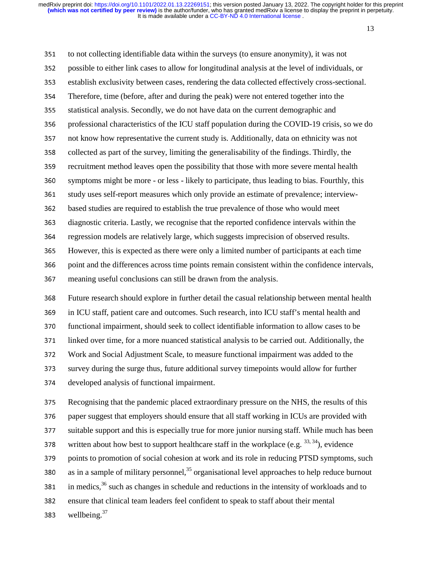13

351 to not collecting identifiable data within the surveys (to ensure anonymity), it was not 352 possible to either link cases to allow for longitudinal analysis at the level of individuals, or 353 establish exclusivity between cases, rendering the data collected effectively cross-sectional. 354 Therefore, time (before, after and during the peak) were not entered together into the <sup>355</sup>statistical analysis. Secondly, we do not have data on the current demographic and 356 professional characteristics of the ICU staff population during the COVID-19 crisis, so we do 357 not know how representative the current study is. Additionally, data on ethnicity was not 358 collected as part of the survey, limiting the generalisability of the findings. Thirdly, the 359 recruitment method leaves open the possibility that those with more severe mental health 360 symptoms might be more - or less - likely to participate, thus leading to bias. Fourthly, this 361 study uses self-report measures which only provide an estimate of prevalence; interview-<sup>362</sup>based studies are required to establish the true prevalence of those who would meet <sup>363</sup>diagnostic criteria. Lastly, we recognise that the reported confidence intervals within the <sup>364</sup>regression models are relatively large, which suggests imprecision of observed results. <sup>365</sup>However, this is expected as there were only a limited number of participants at each time 366 point and the differences across time points remain consistent within the confidence intervals, 367 meaning useful conclusions can still be drawn from the analysis. <sup>368</sup>Future research should explore in further detail the casual relationship between mental health

369 in ICU staff, patient care and outcomes. Such research, into ICU staff's mental health and

370 functional impairment, should seek to collect identifiable information to allow cases to be

<sup>371</sup>linked over time, for a more nuanced statistical analysis to be carried out. Additionally, the

<sup>372</sup>Work and Social Adjustment Scale, to measure functional impairment was added to the

<sup>373</sup>survey during the surge thus, future additional survey timepoints would allow for further

374 developed analysis of functional impairment.

<sup>375</sup>Recognising that the pandemic placed extraordinary pressure on the NHS, the results of this 376 paper suggest that employers should ensure that all staff working in ICUs are provided with 377 suitable support and this is especially true for more junior nursing staff. While much has been 378 written about how best to support healthcare staff in the workplace (e.g.  $^{33, 34}$ ), evidence 379 points to promotion of social cohesion at work and its role in reducing PTSD symptoms, such 380 as in a sample of military personnel,  $35$  organisational level approaches to help reduce burnout 381 in medics,  $36$  such as changes in schedule and reductions in the intensity of workloads and to 382 ensure that clinical team leaders feel confident to speak to staff about their mental 383 wellbeing. $37$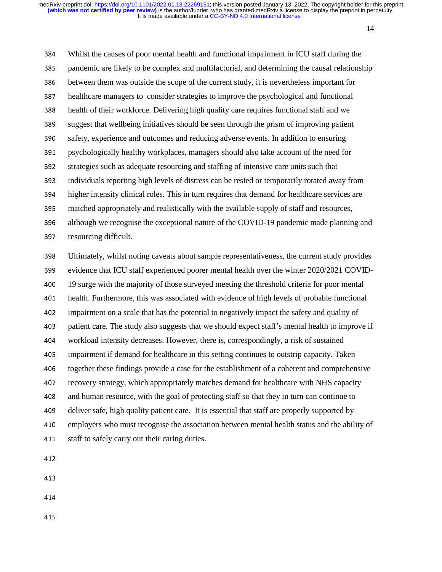14

<sup>384</sup>Whilst the causes of poor mental health and functional impairment in ICU staff during the 385 pandemic are likely to be complex and multifactorial, and determining the causal relationship 386 between them was outside the scope of the current study, it is nevertheless important for 387 healthcare managers to consider strategies to improve the psychological and functional <sup>388</sup>health of their workforce. Delivering high quality care requires functional staff and we 389 suggest that wellbeing initiatives should be seen through the prism of improving patient 390 safety, experience and outcomes and reducing adverse events. In addition to ensuring 391 psychologically healthy workplaces, managers should also take account of the need for 392 strategies such as adequate resourcing and staffing of intensive care units such that <sup>393</sup>individuals reporting high levels of distress can be rested or temporarily rotated away from 394 higher intensity clinical roles. This in turn requires that demand for healthcare services are 395 matched appropriately and realistically with the available supply of staff and resources, 396 although we recognise the exceptional nature of the COVID-19 pandemic made planning and 397 resourcing difficult. <sup>398</sup>Ultimately, whilst noting caveats about sample representativeness, the current study provides 399 evidence that ICU staff experienced poorer mental health over the winter 2020/2021 COVID-400 19 surge with the majority of those surveyed meeting the threshold criteria for poor mental 401 health. Furthermore, this was associated with evidence of high levels of probable functional <sup>402</sup>impairment on a scale that has the potential to negatively impact the safety and quality of 403 patient care. The study also suggests that we should expect staff's mental health to improve if <sup>404</sup>workload intensity decreases. However, there is, correspondingly, a risk of sustained 405 impairment if demand for healthcare in this setting continues to outstrip capacity. Taken 406 together these findings provide a case for the establishment of a coherent and comprehensive

407 recovery strategy, which appropriately matches demand for healthcare with NHS capacity

408 and human resource, with the goal of protecting staff so that they in turn can continue to

409 deliver safe, high quality patient care. It is essential that staff are properly supported by

410 employers who must recognise the association between mental health status and the ability of

411 staff to safely carry out their caring duties.

412

- 413
- 414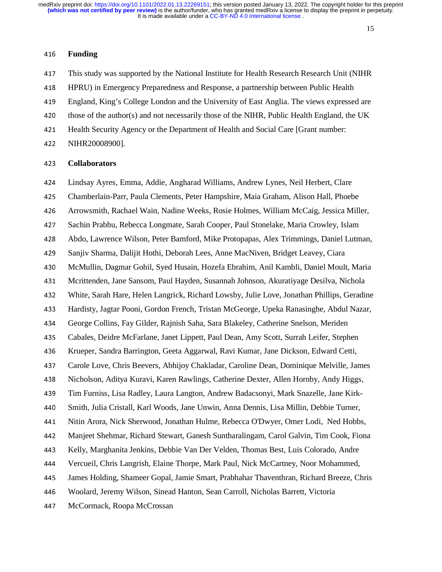#### <sup>416</sup>**Funding**

417 This study was supported by the National Institute for Health Research Research Unit (NIHR

<sup>418</sup>HPRU) in Emergency Preparedness and Response, a partnership between Public Health

<sup>419</sup>England, King's College London and the University of East Anglia. The views expressed are

420 those of the author(s) and not necessarily those of the NIHR, Public Health England, the UK

421 Health Security Agency or the Department of Health and Social Care [Grant number:

422 NIHR20008900].

#### <sup>423</sup>**Collaborators**

424 Lindsay Ayres, Emma, Addie, Angharad Williams, Andrew Lynes, Neil Herbert, Clare

<sup>425</sup>Chamberlain-Parr, Paula Clements, Peter Hampshire, Maia Graham, Alison Hall, Phoebe

426 Arrowsmith, Rachael Wain, Nadine Weeks, Rosie Holmes, William McCaig, Jessica Miller,

<sup>427</sup>Sachin Prabhu, Rebecca Longmate, Sarah Cooper, Paul Stonelake, Maria Crowley, Islam

<sup>428</sup>Abdo, Lawrence Wilson, Peter Bamford, Mike Protopapas, Alex Trimmings, Daniel Lutman,

<sup>429</sup>Sanjiv Sharma, Dalijit Hothi, Deborah Lees, Anne MacNiven, Bridget Leavey, Ciara

<sup>430</sup>McMullin, Dagmar Gohil, Syed Husain, Hozefa Ebrahim, Anil Kambli, Daniel Moult, Maria

<sup>431</sup>Mcrittenden, Jane Sansom, Paul Hayden, Susannah Johnson, Akuratiyage Desilva, Nichola

<sup>432</sup>White, Sarah Hare, Helen Langrick, Richard Lowsby, Julie Love, Jonathan Phillips, Geradine

433 Hardisty, Jagtar Pooni, Gordon French, Tristan McGeorge, Upeka Ranasinghe, Abdul Nazar,

<sup>434</sup>George Collins, Fay Gilder, Rajnish Saha, Sara Blakeley, Catherine Snelson, Meriden

435 Cabales, Deidre McFarlane, Janet Lippett, Paul Dean, Amy Scott, Surrah Leifer, Stephen

<sup>436</sup>Krueper, Sandra Barrington, Geeta Aggarwal, Ravi Kumar, Jane Dickson, Edward Cetti,

437 Carole Love, Chris Beevers, Abhijoy Chakladar, Caroline Dean, Dominique Melville, James

438 Nicholson, Aditya Kuravi, Karen Rawlings, Catherine Dexter, Allen Hornby, Andy Higgs,

439 Tim Furniss, Lisa Radley, Laura Langton, Andrew Badacsonyi, Mark Snazelle, Jane Kirk-

440 Smith, Julia Cristall, Karl Woods, Jane Unwin, Anna Dennis, Lisa Millin, Debbie Turner,

441 Nitin Arora, Nick Sherwood, Jonathan Hulme, Rebecca O'Dwyer, Omer Lodi, Ned Hobbs,

<sup>442</sup>Manjeet Shehmar, Richard Stewart, Ganesh Suntharalingam, Carol Galvin, Tim Cook, Fiona

<sup>443</sup>Kelly, Marghanita Jenkins, Debbie Van Der Velden, Thomas Best, Luis Colorado, Andre

<sup>444</sup>Vercueil, Chris Langrish, Elaine Thorpe, Mark Paul, Nick McCartney, Noor Mohammed,

<sup>445</sup>James Holding, Shameer Gopal, Jamie Smart, Prabhahar Thaventhran, Richard Breeze, Chris

<sup>446</sup>Woolard, Jeremy Wilson, Sinead Hanton, Sean Carroll, Nicholas Barrett, Victoria

447 McCormack, Roopa McCrossan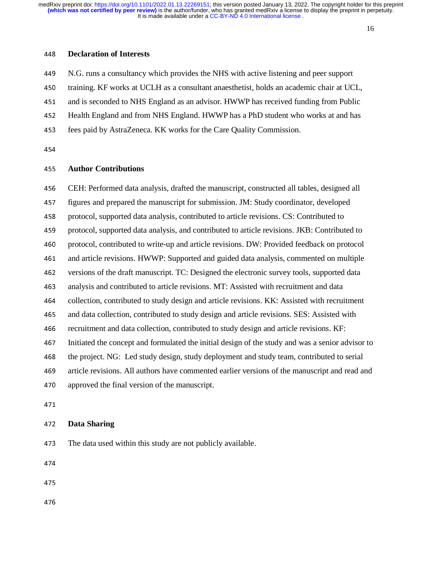#### <sup>448</sup>**Declaration of Interests**

449 N.G. runs a consultancy which provides the NHS with active listening and peer support 450 training. KF works at UCLH as a consultant anaesthetist, holds an academic chair at UCL, 451 and is seconded to NHS England as an advisor. HWWP has received funding from Public 452 Health England and from NHS England. HWWP has a PhD student who works at and has 453 fees paid by AstraZeneca. KK works for the Care Quality Commission.

454

#### <sup>455</sup>**Author Contributions**

<sup>456</sup>CEH: Performed data analysis, drafted the manuscript, constructed all tables, designed all 457 figures and prepared the manuscript for submission. JM: Study coordinator, developed <sup>458</sup>protocol, supported data analysis, contributed to article revisions. CS: Contributed to 459 protocol, supported data analysis, and contributed to article revisions. JKB: Contributed to 460 protocol, contributed to write-up and article revisions. DW: Provided feedback on protocol <sup>461</sup>and article revisions. HWWP: Supported and guided data analysis, commented on multiple 462 versions of the draft manuscript. TC: Designed the electronic survey tools, supported data <sup>463</sup>analysis and contributed to article revisions. MT: Assisted with recruitment and data 464 collection, contributed to study design and article revisions. KK: Assisted with recruitment <sup>465</sup>and data collection, contributed to study design and article revisions. SES: Assisted with <sup>466</sup>recruitment and data collection, contributed to study design and article revisions. KF: <sup>467</sup>Initiated the concept and formulated the initial design of the study and was a senior advisor to 468 the project. NG: Led study design, study deployment and study team, contributed to serial 469 article revisions. All authors have commented earlier versions of the manuscript and read and 470 approved the final version of the manuscript. 471

# <sup>472</sup>**Data Sharing**

473 The data used within this study are not publicly available.

474

475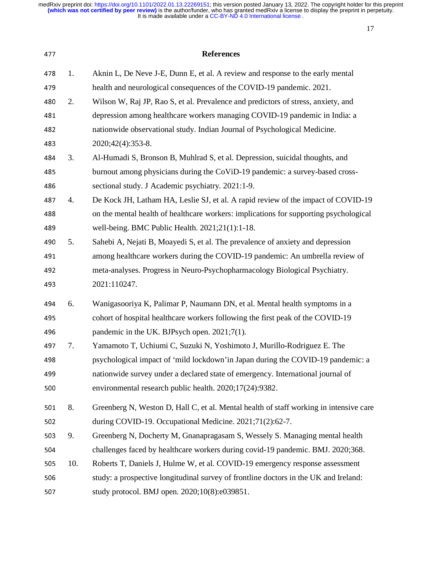| 477 |     | <b>References</b>                                                                      |
|-----|-----|----------------------------------------------------------------------------------------|
| 478 | 1.  | Aknin L, De Neve J-E, Dunn E, et al. A review and response to the early mental         |
| 479 |     | health and neurological consequences of the COVID-19 pandemic. 2021.                   |
| 480 | 2.  | Wilson W, Raj JP, Rao S, et al. Prevalence and predictors of stress, anxiety, and      |
| 481 |     | depression among healthcare workers managing COVID-19 pandemic in India: a             |
| 482 |     | nationwide observational study. Indian Journal of Psychological Medicine.              |
| 483 |     | 2020;42(4):353-8.                                                                      |
| 484 | 3.  | Al-Humadi S, Bronson B, Muhlrad S, et al. Depression, suicidal thoughts, and           |
| 485 |     | burnout among physicians during the CoViD-19 pandemic: a survey-based cross-           |
| 486 |     | sectional study. J Academic psychiatry. 2021:1-9.                                      |
| 487 | 4.  | De Kock JH, Latham HA, Leslie SJ, et al. A rapid review of the impact of COVID-19      |
| 488 |     | on the mental health of healthcare workers: implications for supporting psychological  |
| 489 |     | well-being. BMC Public Health. 2021;21(1):1-18.                                        |
| 490 | 5.  | Sahebi A, Nejati B, Moayedi S, et al. The prevalence of anxiety and depression         |
| 491 |     | among healthcare workers during the COVID-19 pandemic: An umbrella review of           |
| 492 |     | meta-analyses. Progress in Neuro-Psychopharmacology Biological Psychiatry.             |
| 493 |     | 2021:110247.                                                                           |
| 494 | 6.  | Wanigasooriya K, Palimar P, Naumann DN, et al. Mental health symptoms in a             |
| 495 |     | cohort of hospital healthcare workers following the first peak of the COVID-19         |
| 496 |     | pandemic in the UK. BJPsych open. 2021;7(1).                                           |
| 497 | 7.  | Yamamoto T, Uchiumi C, Suzuki N, Yoshimoto J, Murillo-Rodriguez E. The                 |
| 498 |     | psychological impact of 'mild lockdown'in Japan during the COVID-19 pandemic: a        |
| 499 |     | nationwide survey under a declared state of emergency. International journal of        |
| 500 |     | environmental research public health. 2020;17(24):9382.                                |
| 501 | 8.  | Greenberg N, Weston D, Hall C, et al. Mental health of staff working in intensive care |
| 502 |     | during COVID-19. Occupational Medicine. 2021;71(2):62-7.                               |
| 503 | 9.  | Greenberg N, Docherty M, Gnanapragasam S, Wessely S. Managing mental health            |
| 504 |     | challenges faced by healthcare workers during covid-19 pandemic. BMJ. 2020;368.        |
| 505 | 10. | Roberts T, Daniels J, Hulme W, et al. COVID-19 emergency response assessment           |
| 506 |     | study: a prospective longitudinal survey of frontline doctors in the UK and Ireland:   |
| 507 |     | study protocol. BMJ open. 2020;10(8):e039851.                                          |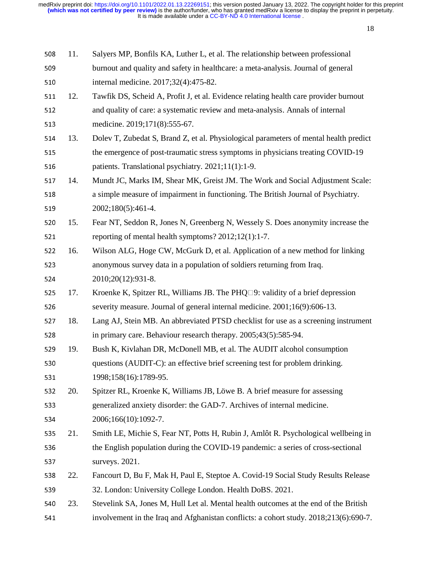| 508 | 11. | Salyers MP, Bonfils KA, Luther L, et al. The relationship between professional          |
|-----|-----|-----------------------------------------------------------------------------------------|
| 509 |     | burnout and quality and safety in healthcare: a meta-analysis. Journal of general       |
| 510 |     | internal medicine. 2017;32(4):475-82.                                                   |
| 511 | 12. | Tawfik DS, Scheid A, Profit J, et al. Evidence relating health care provider burnout    |
| 512 |     | and quality of care: a systematic review and meta-analysis. Annals of internal          |
| 513 |     | medicine. 2019;171(8):555-67.                                                           |
| 514 | 13. | Dolev T, Zubedat S, Brand Z, et al. Physiological parameters of mental health predict   |
| 515 |     | the emergence of post-traumatic stress symptoms in physicians treating COVID-19         |
| 516 |     | patients. Translational psychiatry. 2021;11(1):1-9.                                     |
| 517 | 14. | Mundt JC, Marks IM, Shear MK, Greist JM. The Work and Social Adjustment Scale:          |
| 518 |     | a simple measure of impairment in functioning. The British Journal of Psychiatry.       |
| 519 |     | 2002;180(5):461-4.                                                                      |
| 520 | 15. | Fear NT, Seddon R, Jones N, Greenberg N, Wessely S. Does anonymity increase the         |
| 521 |     | reporting of mental health symptoms? 2012;12(1):1-7.                                    |
| 522 | 16. | Wilson ALG, Hoge CW, McGurk D, et al. Application of a new method for linking           |
| 523 |     | anonymous survey data in a population of soldiers returning from Iraq.                  |
| 524 |     | 2010;20(12):931-8.                                                                      |
| 525 | 17. | Kroenke K, Spitzer RL, Williams JB. The PHQ $\square$ 9: validity of a brief depression |
| 526 |     | severity measure. Journal of general internal medicine. 2001;16(9):606-13.              |
| 527 | 18. | Lang AJ, Stein MB. An abbreviated PTSD checklist for use as a screening instrument      |
| 528 |     | in primary care. Behaviour research therapy. 2005;43(5):585-94.                         |
| 529 | 19. | Bush K, Kivlahan DR, McDonell MB, et al. The AUDIT alcohol consumption                  |
| 530 |     | questions (AUDIT-C): an effective brief screening test for problem drinking.            |
| 531 |     | 1998;158(16):1789-95.                                                                   |
| 532 | 20. | Spitzer RL, Kroenke K, Williams JB, Löwe B. A brief measure for assessing               |
| 533 |     | generalized anxiety disorder: the GAD-7. Archives of internal medicine.                 |
| 534 |     | 2006;166(10):1092-7.                                                                    |
| 535 | 21. | Smith LE, Michie S, Fear NT, Potts H, Rubin J, Amlôt R. Psychological wellbeing in      |
| 536 |     | the English population during the COVID-19 pandemic: a series of cross-sectional        |
| 537 |     | surveys. 2021.                                                                          |
| 538 | 22. | Fancourt D, Bu F, Mak H, Paul E, Steptoe A. Covid-19 Social Study Results Release       |
| 539 |     | 32. London: University College London. Health DoBS. 2021.                               |
| 540 | 23. | Stevelink SA, Jones M, Hull Let al. Mental health outcomes at the end of the British    |
| 541 |     | involvement in the Iraq and Afghanistan conflicts: a cohort study. 2018;213(6):690-7.   |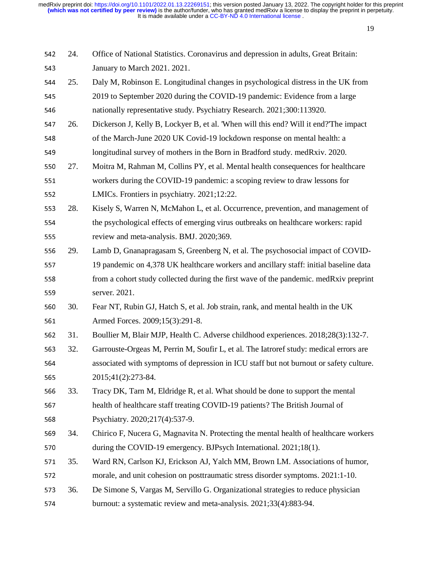| 542 | 24. | Office of National Statistics. Coronavirus and depression in adults, Great Britain:    |
|-----|-----|----------------------------------------------------------------------------------------|
| 543 |     | January to March 2021. 2021.                                                           |
| 544 | 25. | Daly M, Robinson E. Longitudinal changes in psychological distress in the UK from      |
| 545 |     | 2019 to September 2020 during the COVID-19 pandemic: Evidence from a large             |
| 546 |     | nationally representative study. Psychiatry Research. 2021;300:113920.                 |
| 547 | 26. | Dickerson J, Kelly B, Lockyer B, et al. 'When will this end? Will it end?'The impact   |
| 548 |     | of the March-June 2020 UK Covid-19 lockdown response on mental health: a               |
| 549 |     | longitudinal survey of mothers in the Born in Bradford study. medRxiv. 2020.           |
| 550 | 27. | Moitra M, Rahman M, Collins PY, et al. Mental health consequences for healthcare       |
| 551 |     | workers during the COVID-19 pandemic: a scoping review to draw lessons for             |
| 552 |     | LMICs. Frontiers in psychiatry. 2021;12:22.                                            |
| 553 | 28. | Kisely S, Warren N, McMahon L, et al. Occurrence, prevention, and management of        |
| 554 |     | the psychological effects of emerging virus outbreaks on healthcare workers: rapid     |
| 555 |     | review and meta-analysis. BMJ. 2020;369.                                               |
| 556 | 29. | Lamb D, Gnanapragasam S, Greenberg N, et al. The psychosocial impact of COVID-         |
| 557 |     | 19 pandemic on 4,378 UK healthcare workers and ancillary staff: initial baseline data  |
| 558 |     | from a cohort study collected during the first wave of the pandemic. medRxiv preprint  |
| 559 |     | server. 2021.                                                                          |
| 560 | 30. | Fear NT, Rubin GJ, Hatch S, et al. Job strain, rank, and mental health in the UK       |
| 561 |     | Armed Forces. 2009;15(3):291-8.                                                        |
| 562 | 31. | Boullier M, Blair MJP, Health C. Adverse childhood experiences. 2018;28(3):132-7.      |
| 563 | 32. | Garrouste-Orgeas M, Perrin M, Soufir L, et al. The Iatroref study: medical errors are  |
| 564 |     | associated with symptoms of depression in ICU staff but not burnout or safety culture. |
| 565 |     | 2015;41(2):273-84.                                                                     |
| 566 | 33. | Tracy DK, Tarn M, Eldridge R, et al. What should be done to support the mental         |
| 567 |     | health of healthcare staff treating COVID-19 patients? The British Journal of          |
| 568 |     | Psychiatry. 2020;217(4):537-9.                                                         |
| 569 | 34. | Chirico F, Nucera G, Magnavita N. Protecting the mental health of healthcare workers   |
| 570 |     | during the COVID-19 emergency. BJPsych International. 2021;18(1).                      |
| 571 | 35. | Ward RN, Carlson KJ, Erickson AJ, Yalch MM, Brown LM. Associations of humor,           |
| 572 |     | morale, and unit cohesion on posttraumatic stress disorder symptoms. 2021:1-10.        |
| 573 | 36. | De Simone S, Vargas M, Servillo G. Organizational strategies to reduce physician       |
| 574 |     | burnout: a systematic review and meta-analysis. 2021;33(4):883-94.                     |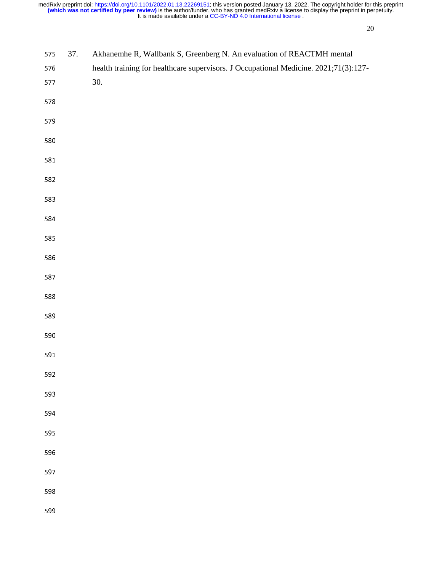| 575 | 37. | Akhanemhe R, Wallbank S, Greenberg N. An evaluation of REACTMH mental                |
|-----|-----|--------------------------------------------------------------------------------------|
| 576 |     | health training for healthcare supervisors. J Occupational Medicine. 2021;71(3):127- |
| 577 |     | 30.                                                                                  |
|     |     |                                                                                      |
| 578 |     |                                                                                      |
| 579 |     |                                                                                      |
| 580 |     |                                                                                      |
| 581 |     |                                                                                      |
|     |     |                                                                                      |
| 582 |     |                                                                                      |
| 583 |     |                                                                                      |
| 584 |     |                                                                                      |
| 585 |     |                                                                                      |
|     |     |                                                                                      |
| 586 |     |                                                                                      |
| 587 |     |                                                                                      |
| 588 |     |                                                                                      |
| 589 |     |                                                                                      |
|     |     |                                                                                      |
| 590 |     |                                                                                      |
| 591 |     |                                                                                      |
| 592 |     |                                                                                      |
| 593 |     |                                                                                      |
| 594 |     |                                                                                      |
|     |     |                                                                                      |
| 595 |     |                                                                                      |
| 596 |     |                                                                                      |
| 597 |     |                                                                                      |
| 598 |     |                                                                                      |
|     |     |                                                                                      |
| 599 |     |                                                                                      |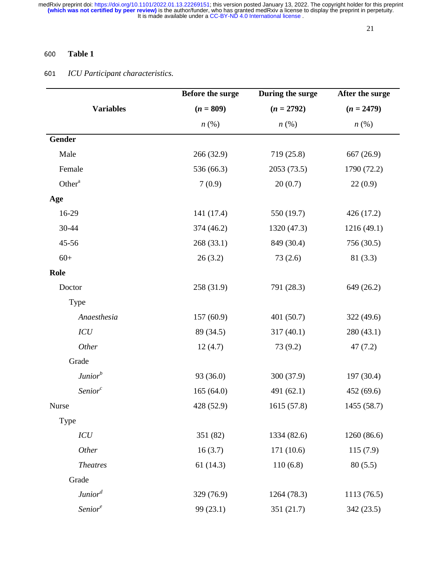# <sup>600</sup>**Table 1**

# <sup>601</sup>*ICU Participant characteristics.*

|                     | Before the surge   | During the surge   | After the surge    |
|---------------------|--------------------|--------------------|--------------------|
| <b>Variables</b>    | $(n = 809)$        | $(n = 2792)$       | $(n = 2479)$       |
|                     | $n\left(\%\right)$ | $n\left(\%\right)$ | $n\left(\%\right)$ |
| <b>Gender</b>       |                    |                    |                    |
| Male                | 266 (32.9)         | 719 (25.8)         | 667 (26.9)         |
| Female              | 536 (66.3)         | 2053 (73.5)        | 1790 (72.2)        |
| Other <sup>a</sup>  | 7(0.9)             | 20(0.7)            | 22(0.9)            |
| Age                 |                    |                    |                    |
| 16-29               | 141 (17.4)         | 550 (19.7)         | 426 (17.2)         |
| 30-44               | 374 (46.2)         | 1320 (47.3)        | 1216 (49.1)        |
| 45-56               | 268(33.1)          | 849 (30.4)         | 756 (30.5)         |
| $60+$               | 26(3.2)            | 73(2.6)            | 81(3.3)            |
| Role                |                    |                    |                    |
| Doctor              | 258 (31.9)         | 791 (28.3)         | 649 (26.2)         |
| Type                |                    |                    |                    |
| Anaesthesia         | 157(60.9)          | 401 (50.7)         | 322 (49.6)         |
| ICU                 | 89 (34.5)          | 317(40.1)          | 280 (43.1)         |
| Other               | 12(4.7)            | 73 (9.2)           | 47(7.2)            |
| Grade               |                    |                    |                    |
| Junior <sup>b</sup> | 93 (36.0)          | 300 (37.9)         | 197 (30.4)         |
| Senior <sup>c</sup> | 165(64.0)          | 491 (62.1)         | 452 (69.6)         |
| <b>Nurse</b>        | 428 (52.9)         | 1615 (57.8)        | 1455 (58.7)        |
| Type                |                    |                    |                    |
| ICU                 | 351 (82)           | 1334 (82.6)        | 1260 (86.6)        |
| Other               | 16(3.7)            | 171 (10.6)         | 115(7.9)           |
| <b>Theatres</b>     | 61(14.3)           | 110(6.8)           | 80(5.5)            |
| Grade               |                    |                    |                    |
| Junior <sup>d</sup> | 329 (76.9)         | 1264 (78.3)        | 1113 (76.5)        |
| Senior <sup>e</sup> | 99 (23.1)          | 351 (21.7)         | 342 (23.5)         |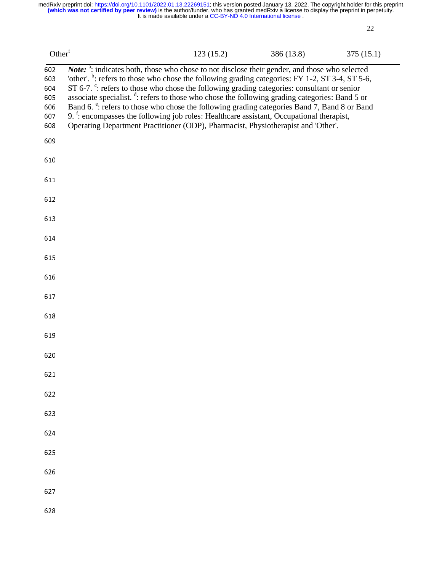| Other <sup>f</sup>                            |                                                                                                                                                                                                                                                                                                                                                                                                                                                                                                                                                                                                                                                                                                                                                         | 123(15.2) | 386 (13.8) | 375(15.1) |
|-----------------------------------------------|---------------------------------------------------------------------------------------------------------------------------------------------------------------------------------------------------------------------------------------------------------------------------------------------------------------------------------------------------------------------------------------------------------------------------------------------------------------------------------------------------------------------------------------------------------------------------------------------------------------------------------------------------------------------------------------------------------------------------------------------------------|-----------|------------|-----------|
| 602<br>603<br>604<br>605<br>606<br>607<br>608 | Note: <sup>a</sup> : indicates both, those who chose to not disclose their gender, and those who selected<br>'other'. <sup>b</sup> : refers to those who chose the following grading categories: FY 1-2, ST 3-4, ST 5-6,<br>ST 6-7. $\degree$ : refers to those who chose the following grading categories: consultant or senior<br>associate specialist. <sup>d</sup> : refers to those who chose the following grading categories: Band 5 or<br>Band 6. <sup>e</sup> : refers to those who chose the following grading categories Band 7, Band 8 or Band<br>9. <sup>f</sup> : encompasses the following job roles: Healthcare assistant, Occupational therapist,<br>Operating Department Practitioner (ODP), Pharmacist, Physiotherapist and 'Other'. |           |            |           |
| 609                                           |                                                                                                                                                                                                                                                                                                                                                                                                                                                                                                                                                                                                                                                                                                                                                         |           |            |           |
| 610                                           |                                                                                                                                                                                                                                                                                                                                                                                                                                                                                                                                                                                                                                                                                                                                                         |           |            |           |
| 611                                           |                                                                                                                                                                                                                                                                                                                                                                                                                                                                                                                                                                                                                                                                                                                                                         |           |            |           |
| 612                                           |                                                                                                                                                                                                                                                                                                                                                                                                                                                                                                                                                                                                                                                                                                                                                         |           |            |           |
| 613                                           |                                                                                                                                                                                                                                                                                                                                                                                                                                                                                                                                                                                                                                                                                                                                                         |           |            |           |
| 614                                           |                                                                                                                                                                                                                                                                                                                                                                                                                                                                                                                                                                                                                                                                                                                                                         |           |            |           |
| 615                                           |                                                                                                                                                                                                                                                                                                                                                                                                                                                                                                                                                                                                                                                                                                                                                         |           |            |           |
| 616                                           |                                                                                                                                                                                                                                                                                                                                                                                                                                                                                                                                                                                                                                                                                                                                                         |           |            |           |
| 617                                           |                                                                                                                                                                                                                                                                                                                                                                                                                                                                                                                                                                                                                                                                                                                                                         |           |            |           |
| 618                                           |                                                                                                                                                                                                                                                                                                                                                                                                                                                                                                                                                                                                                                                                                                                                                         |           |            |           |
| 619                                           |                                                                                                                                                                                                                                                                                                                                                                                                                                                                                                                                                                                                                                                                                                                                                         |           |            |           |
| 620                                           |                                                                                                                                                                                                                                                                                                                                                                                                                                                                                                                                                                                                                                                                                                                                                         |           |            |           |
| 621                                           |                                                                                                                                                                                                                                                                                                                                                                                                                                                                                                                                                                                                                                                                                                                                                         |           |            |           |
| 622                                           |                                                                                                                                                                                                                                                                                                                                                                                                                                                                                                                                                                                                                                                                                                                                                         |           |            |           |
| 623                                           |                                                                                                                                                                                                                                                                                                                                                                                                                                                                                                                                                                                                                                                                                                                                                         |           |            |           |
| 624                                           |                                                                                                                                                                                                                                                                                                                                                                                                                                                                                                                                                                                                                                                                                                                                                         |           |            |           |
| 625                                           |                                                                                                                                                                                                                                                                                                                                                                                                                                                                                                                                                                                                                                                                                                                                                         |           |            |           |
| 626                                           |                                                                                                                                                                                                                                                                                                                                                                                                                                                                                                                                                                                                                                                                                                                                                         |           |            |           |
| 627                                           |                                                                                                                                                                                                                                                                                                                                                                                                                                                                                                                                                                                                                                                                                                                                                         |           |            |           |
| 628                                           |                                                                                                                                                                                                                                                                                                                                                                                                                                                                                                                                                                                                                                                                                                                                                         |           |            |           |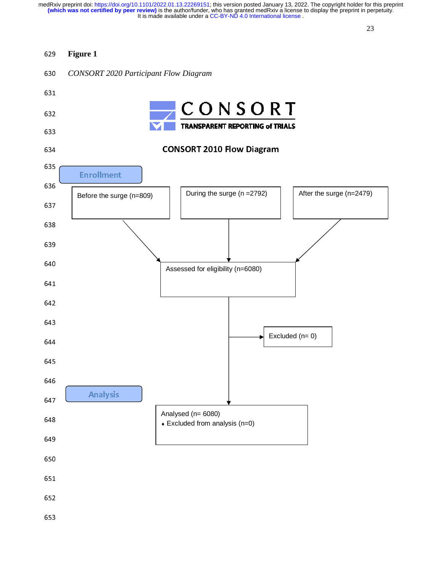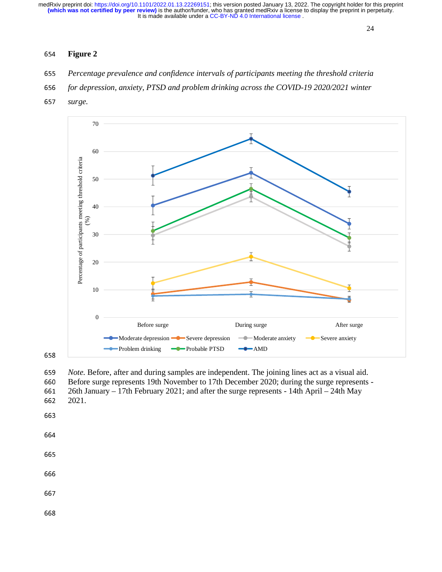# **Figure 2**

- *Percentage prevalence and confidence intervals of participants meeting the threshold criteria*
- *for depression, anxiety, PTSD and problem drinking across the COVID-19 2020/2021 winter*
- *surge.*



659 *Note.* Before, after and during samples are independent. The joining lines act as a visual aid.<br>660 Before surge represents 19th November to 17th December 2020; during the surge represents 660 Before surge represents 19th November to 17th December 2020; during the surge represents -<br>661 26th January – 17th February 2021: and after the surge represents - 14th April – 24th May 661 26th January – 17th February 2021; and after the surge represents - 14th April – 24th May . 2021.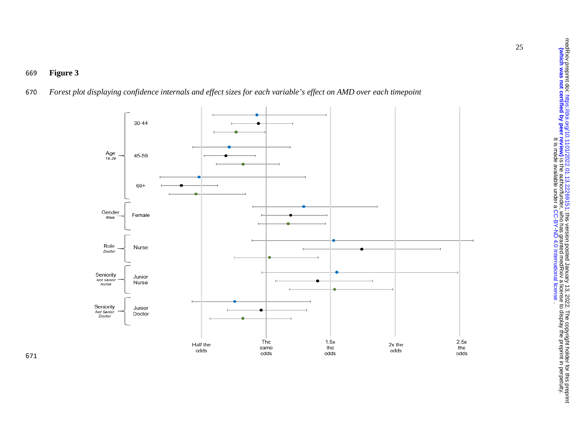

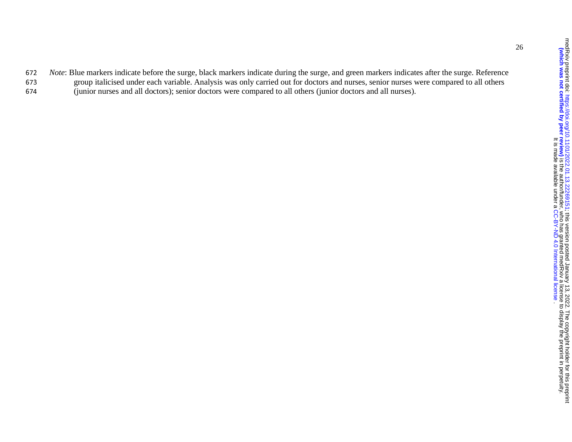- <sup>672</sup>*Note*: Blue markers indicate before the surge, black markers indicate during the surge, and green markers indicates after the surge. Reference 673 group italicised under each variable. Analysis was only carried out for doctors and nurses, senior nurses were compared to all others
- <sup>674</sup>(junior nurses and all doctors); senior doctors were compared to all others (junior doctors and all nurses).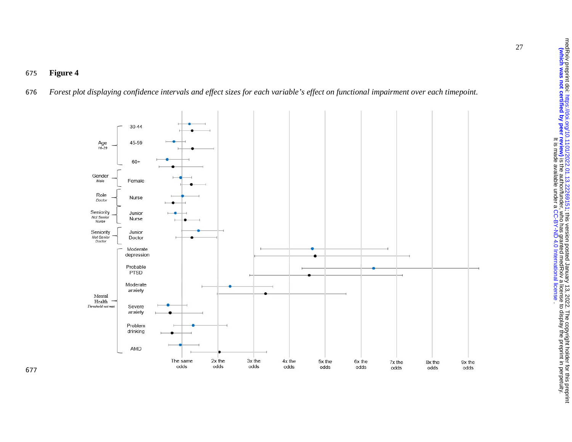# <sup>675</sup>**Figure 4**

<sup>676</sup>*Forest plot displaying confidence intervals and effect sizes for each variable's effect on functional impairment over each timepoint.*